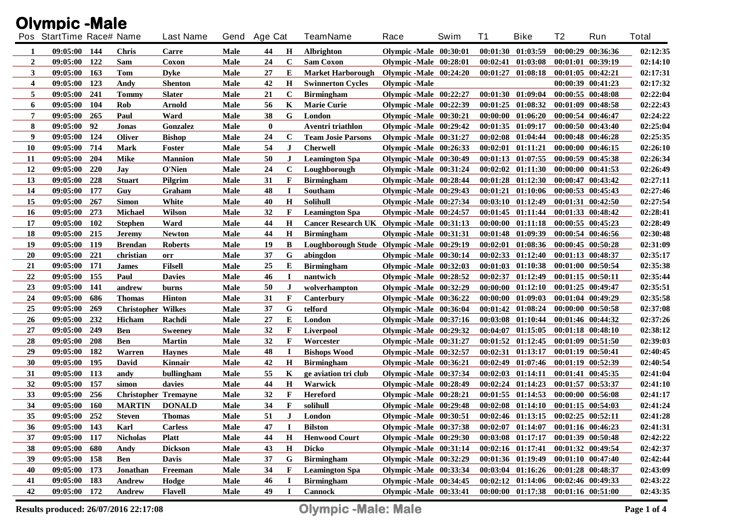| <b>Olympic-Male</b>     |                          |            |                             |                  |             |              |              |                                           |                          |      |    |                                     |                   |                       |              |
|-------------------------|--------------------------|------------|-----------------------------|------------------|-------------|--------------|--------------|-------------------------------------------|--------------------------|------|----|-------------------------------------|-------------------|-----------------------|--------------|
|                         | Pos StartTime Race# Name |            |                             | <b>Last Name</b> |             | Gend Age Cat |              | <b>TeamName</b>                           | Race                     | Swim | T1 | <b>Bike</b>                         | T2                | Run                   | <b>Total</b> |
| 1                       | 09:05:00 144             |            | <b>Chris</b>                | Carre            | Male        | 44           | $\mathbf H$  | <b>Albrighton</b>                         | Olympic -Male 00:30:01   |      |    | $00:01:30$ $01:03:59$               |                   | 00:00:29 00:36:36     | 02:12:35     |
| $\overline{2}$          | 09:05:00                 | 122        | Sam                         | Coxon            | Male        | 24           | $\mathbf C$  | <b>Sam Coxon</b>                          | Olympic -Male 00:28:01   |      |    | $00:02:41$ $01:03:08$               |                   | 00:01:01 00:39:19     | 02:14:10     |
| 3                       | 09:05:00                 | 163        | Tom                         | <b>Dyke</b>      | Male        | 27           | Е            | <b>Market Harborough</b>                  | Olympic -Male $00:24:20$ |      |    | $00:01:27$ $01:08:18$               |                   | 00:01:05 00:42:21     | 02:17:31     |
| $\overline{\mathbf{4}}$ | 09:05:00                 | 123        | Andy                        | <b>Shenton</b>   | Male        | 42           | $\bf H$      | <b>Swinnerton Cycles</b>                  | <b>Olympic</b> - Male    |      |    |                                     |                   | 00:00:39 00:41:23     | 02:17:32     |
| 5                       | 09:05:00                 | 241        | <b>Tommy</b>                | <b>Slater</b>    | Male        | 21           | $\mathbf C$  | <b>Birmingham</b>                         | Olympic -Male 00:22:27   |      |    | 00:01:30 01:09:04                   |                   | 00:00:55 00:48:08     | 02:22:04     |
| 6                       | 09:05:00                 | 104        | Rob                         | Arnold           | Male        | 56           | K            | <b>Marie Curie</b>                        | Olympic-Male 00:22:39    |      |    | $00:01:25$ $01:08:32$               |                   | 00:01:09 00:48:58     | 02:22:43     |
| 7                       | 09:05:00                 | 265        | Paul                        | Ward             | Male        | 38           | G            | London                                    | Olympic-Male 00:30:21    |      |    | $00:00:00$ $01:06:20$               |                   | 00:00:54 00:46:47     | 02:24:22     |
| 8                       | 09:05:00                 | 92         | Jonas                       | Gonzalez         | Male        | $\bf{0}$     |              | Aventri triathlon                         | Olympic -Male 00:29:42   |      |    | $00:01:35$ $01:09:17$               |                   | 00:00:50 00:43:40     | 02:25:04     |
| 9                       | 09:05:00                 | 124        | <b>Oliver</b>               | <b>Bishop</b>    | Male        | 24           | $\mathbf C$  | <b>Team Josie Parsons</b>                 | Olympic -Male 00:31:27   |      |    | $00:02:08$ $01:04:44$               |                   | 00:00:48 00:46:28     | 02:25:35     |
| <b>10</b>               | 09:05:00                 | 714        | <b>Mark</b>                 | Foster           | Male        | 54           | J            | <b>Cherwell</b>                           | Olympic -Male 00:26:33   |      |    | $00:02:01$ $01:11:21$               |                   | 00:00:00 00:46:15     | 02:26:10     |
| 11                      | 09:05:00                 | 204        | <b>Mike</b>                 | <b>Mannion</b>   | Male        | 50           | J            | <b>Leamington Spa</b>                     | Olympic -Male 00:30:49   |      |    | 00:01:13 01:07:55                   |                   | 00:00:59 00:45:38     | 02:26:34     |
| 12                      | 09:05:00                 | 220        | <b>Jay</b>                  | O'Nien           | Male        | 24           | $\mathbf C$  | Loughborough                              | Olympic -Male 00:31:24   |      |    | $00:02:02$ $01:11:30$               |                   | 00:00:00 00:41:53     | 02:26:49     |
| 13                      | 09:05:00                 | 228        | <b>Stuart</b>               | Pilgrim          | Male        | 31           | F            | <b>Birmingham</b>                         | Olympic -Male 00:28:44   |      |    | $00:01:28$ $01:12:30$               |                   | 00:00:47 00:43:42     | 02:27:11     |
| 14                      | 09:05:00                 | 177        | Guy                         | Graham           | Male        | 48           | I            | Southam                                   | Olympic -Male 00:29:43   |      |    | 00:01:21 01:10:06                   |                   | 00:00:53 00:45:43     | 02:27:46     |
| 15                      | 09:05:00                 | 267        | <b>Simon</b>                | White            | Male        | 40           | H            | Solihull                                  | Olympic -Male 00:27:34   |      |    | 00:03:10 01:12:49                   |                   | 00:01:31 00:42:50     | 02:27:54     |
| <b>16</b>               | 09:05:00                 | 273        | <b>Michael</b>              | Wilson           | Male        | 32           | F            | <b>Leamington Spa</b>                     | Olympic -Male 00:24:57   |      |    | 00:01:45 01:11:44                   |                   | 00:01:33 00:48:42     | 02:28:41     |
| 17                      | 09:05:00                 | <b>102</b> | <b>Stephen</b>              | Ward             | Male        | 44           | $\mathbf H$  | Cancer Research UK Olympic -Male 00:31:13 |                          |      |    | $00:00:00$ $01:11:18$               |                   | $00:00:55$ $00:45:23$ | 02:28:49     |
| 18                      | 09:05:00                 | 215        | <b>Jeremy</b>               | <b>Newton</b>    | Male        | 44           | H            | <b>Birmingham</b>                         | Olympic -Male 00:31:31   |      |    | 00:01:48 01:09:39                   |                   | 00:00:54 00:46:56     | 02:30:48     |
| 19                      | 09:05:00                 | 119        | <b>Brendan</b>              | <b>Roberts</b>   | Male        | 19           | B            | Loughborough Stude Olympic -Male 00:29:19 |                          |      |    | $00:02:01$ $01:08:36$               |                   | $00:00:45$ $00:50:28$ | 02:31:09     |
| 20                      | 09:05:00                 | 221        | christian                   | orr              | Male        | 37           | G            | abingdon                                  | Olympic -Male 00:30:14   |      |    | $00:02:33$ $01:12:40$               |                   | $00:01:13$ $00:48:37$ | 02:35:17     |
| 21                      | 09:05:00                 | 171        | <b>James</b>                | <b>Filsell</b>   | Male        | 25           | E            | <b>Birmingham</b>                         | Olympic -Male 00:32:03   |      |    | 00:01:03 01:10:38                   |                   | $00:01:00$ $00:50:54$ | 02:35:38     |
| 22                      | 09:05:00                 | 155        | Paul                        | <b>Davies</b>    | Male        | 46           | 1            | nantwich                                  | Olympic -Male 00:28:52   |      |    | $00:02:37$ $01:12:49$               |                   | $00:01:15$ $00:50:11$ | 02:35:44     |
| 23                      | 09:05:00                 | 141        | andrew                      | burns            | <b>Male</b> | 50           | J            | wolverhampton                             | Olympic -Male 00:32:29   |      |    | $00:00:00$ $01:12:10$               |                   | $00:01:25$ $00:49:47$ | 02:35:51     |
| 24                      | 09:05:00                 | 686        | <b>Thomas</b>               | <b>Hinton</b>    | Male        | 31           | F            | Canterbury                                | Olympic -Male 00:36:22   |      |    | $00:00:00$ $01:09:03$               |                   | $00:01:04$ $00:49:29$ | 02:35:58     |
| 25                      | 09:05:00                 | 269        | <b>Christopher Wilkes</b>   |                  | Male        | 37           | G            | telford                                   | Olympic -Male 00:36:04   |      |    | $00:01:42$ $01:08:24$               |                   | $00:00:00$ $00:50:58$ | 02:37:08     |
| 26                      | 09:05:00                 | 232        | <b>Hicham</b>               | Rachdi           | Male        | 27           | E            | London                                    | Olympic -Male 00:37:16   |      |    | $00:03:08$ $01:10:44$               |                   | $00:01:46$ $00:44:32$ | 02:37:26     |
| 27                      | 09:05:00                 | 249        | <b>Ben</b>                  | <b>Sweeney</b>   | Male        | 32           | F            | Liverpool                                 | Olympic-Male 00:29:32    |      |    | $00:04:07$ $01:15:05$               |                   | $00:01:18$ $00:48:10$ | 02:38:12     |
| 28                      | 09:05:00                 | 208        | <b>Ben</b>                  | <b>Martin</b>    | Male        | 32           | F            | Worcester                                 | Olympic -Male 00:31:27   |      |    | $00:01:52$ $01:12:45$               |                   | 00:01:09 00:51:50     | 02:39:03     |
| 29                      | 09:05:00                 | 182        | Warren                      | <b>Haynes</b>    | Male        | 48           | $\bf{I}$     | <b>Bishops Wood</b>                       | Olympic -Male 00:32:57   |      |    | $00:02:31$ $01:13:17$               |                   | $00:01:19$ $00:50:41$ | 02:40:45     |
| 30                      | 09:05:00                 | 195        | David                       | Kinnair          | Male        | 42           | $\mathbf H$  | <b>Birmingham</b>                         | Olympic -Male 00:36:21   |      |    | $00:02:49$ $01:07:46$               |                   | 00:01:19 00:52:39     | 02:40:54     |
| 31                      | 09:05:00                 | 113        | andy                        | bullingham       | Male        | 55           | K            | ge aviation tri club                      | Olympic -Male 00:37:34   |      |    | $00:02:03$ $01:14:11$               |                   | $00:01:41$ $00:45:35$ | 02:41:04     |
| 32                      | 09:05:00                 | 157        | simon                       | davies           | Male        | 44           | Н            | Warwick                                   | Olympic -Male 00:28:49   |      |    | $00:02:24$ $01:14:23$               |                   | $00:01:57$ $00:53:37$ | 02:41:10     |
| 33                      | 09:05:00                 | 256        | <b>Christopher Tremayne</b> |                  | <b>Male</b> | 32           | F            | <b>Hereford</b>                           | Olympic -Male 00:28:21   |      |    | $00:01:55$ $01:14:53$               |                   | 00:00:00 00:56:08     | 02:41:17     |
| 34                      | 09:05:00                 | 160        | <b>MARTIN</b>               | <b>DONALD</b>    | Male        | 34           | F            | solihull                                  | Olympic -Male 00:29:48   |      |    | 00:02:08 01:14:10 00:01:15 00:54:03 |                   |                       | 02:41:24     |
| 35                      | 09:05:00 252             |            | <b>Steven</b>               | <b>Thomas</b>    | Male        | 51           | $\mathbf{J}$ | London                                    | Olympic-Male 00:30:51    |      |    | 00:02:46 01:13:15 00:02:25 00:52:11 |                   |                       | 02:41:28     |
| 36                      | 09:05:00 143             |            | Karl                        | Carless          | Male        | 47           | I            | <b>Bilston</b>                            | Olympic -Male 00:37:38   |      |    | $00:02:07$ $01:14:07$               |                   | 00:01:16 00:46:23     | 02:41:31     |
| 37                      | 09:05:00 117             |            | <b>Nicholas</b>             | <b>Platt</b>     | <b>Male</b> | 44           | $\bf H$      | <b>Henwood Court</b>                      | Olympic -Male 00:29:30   |      |    | 00:03:08 01:17:17                   |                   | 00:01:39 00:50:48     | 02:42:22     |
| 38                      | 09:05:00                 | 680        | Andy                        | <b>Dickson</b>   | <b>Male</b> | 43           | $\mathbf H$  | Dicko                                     | Olympic -Male 00:31:14   |      |    | $00:02:16$ $01:17:41$               |                   | 00:01:32 00:49:54     | 02:42:37     |
| 39                      | 09:05:00 158             |            | Ben                         | <b>Davis</b>     | <b>Male</b> | 37           | G            | <b>Birmingham</b>                         | Olympic -Male 00:32:29   |      |    | 00:01:36 01:19:49                   | 00:01:10 00:47:40 |                       | 02:42:44     |
| 40                      | 09:05:00 173             |            | Jonathan                    | Freeman          | <b>Male</b> | 34           | F            | <b>Leamington Spa</b>                     | Olympic -Male 00:33:34   |      |    | $00:03:04$ $01:16:26$               | 00:01:28 00:48:37 |                       | 02:43:09     |
| 41                      | 09:05:00 183             |            | Andrew                      | Hodge            | Male        | 46           | $\bf{I}$     | <b>Birmingham</b>                         | Olympic -Male 00:34:45   |      |    | $00:02:12$ $01:14:06$               | 00:02:46 00:49:33 |                       | 02:43:22     |
| 42                      | 09:05:00 172             |            | Andrew                      | <b>Flavell</b>   | Male        | 49           | 1            | <b>Cannock</b>                            | Olympic -Male 00:33:41   |      |    | 00:00:00 01:17:38 00:01:16 00:51:00 |                   |                       | 02:43:35     |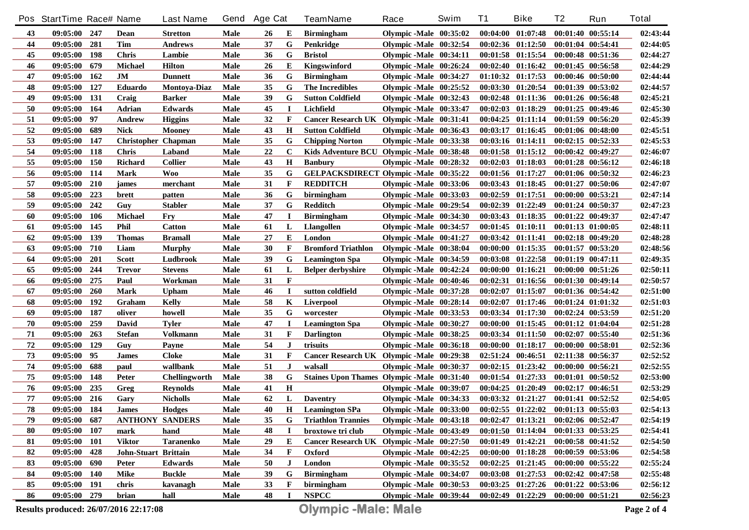|            | Pos StartTime Race# Name |            |                                       | <b>Last Name</b>     | Gend | <b>Age Cat</b> |              | <b>TeamName</b>                              | Race                     | Swim | <b>T1</b> | <b>Bike</b>                                 | T <sub>2</sub>        | Run                   | <b>Total</b> |
|------------|--------------------------|------------|---------------------------------------|----------------------|------|----------------|--------------|----------------------------------------------|--------------------------|------|-----------|---------------------------------------------|-----------------------|-----------------------|--------------|
| 43         | 09:05:00 247             |            | Dean                                  | <b>Stretton</b>      | Male | 26             | Е            | <b>Birmingham</b>                            | Olympic -Male 00:35:02   |      |           | $00:04:00$ $01:07:48$                       | 00:01:40 00:55:14     |                       | 02:43:44     |
| 44         | 09:05:00                 | 281        | <b>Tim</b>                            | Andrews              | Male | 37             | G            | Penkridge                                    | Olympic -Male 00:32:54   |      |           | $00:02:36$ $01:12:50$                       | $00:01:04$ $00:54:41$ |                       | 02:44:05     |
| 45         | 09:05:00                 | 198        | <b>Chris</b>                          | Lambie               | Male | 36             | G            | <b>Bristol</b>                               | Olympic -Male 00:34:11   |      |           | $00:01:58$ $01:15:54$                       | 00:00:48 00:51:36     |                       | 02:44:27     |
| 46         | 09:05:00                 | 679        | Michael                               | <b>Hilton</b>        | Male | 26             | Е            | Kingswinford                                 | Olympic -Male 00:26:24   |      |           | $00:02:40$ $01:16:42$                       | $00:01:45$ $00:56:58$ |                       | 02:44:29     |
| 47         | 09:05:00                 | 162        | J <sub>M</sub>                        | <b>Dunnett</b>       | Male | 36             | G            | <b>Birmingham</b>                            | Olympic -Male 00:34:27   |      |           | $01:10:32$ $01:17:53$                       | 00:00:46 00:50:00     |                       | 02:44:44     |
| 48         | 09:05:00                 | 127        | Eduardo                               | <b>Montoya-Diaz</b>  | Male | 35             | G            | The Incredibles                              | Olympic -Male $00:25:52$ |      |           | 00:03:30 01:20:54                           | 00:01:39 00:53:02     |                       | 02:44:57     |
| 49         | 09:05:00                 | 131        | Craig                                 | <b>Barker</b>        | Male | 39             | G            | <b>Sutton Coldfield</b>                      | Olympic -Male 00:32:43   |      |           | $00:02:48$ $01:11:36$                       | 00:01:26 00:56:48     |                       | 02:45:21     |
| 50         | 09:05:00                 | 164        | <b>Adrian</b>                         | <b>Edwards</b>       | Male | 45             | $\bf{I}$     | Lichfield                                    | Olympic -Male 00:33:47   |      |           | $00:02:03$ $01:18:29$                       | 00:01:25 00:49:46     |                       | 02:45:30     |
| 51         | 09:05:00                 | 97         | <b>Andrew</b>                         | <b>Higgins</b>       | Male | 32             | F            | Cancer Research UK Olympic -Male 00:31:41    |                          |      |           | $00:04:25$ $01:11:14$                       | 00:01:59 00:56:20     |                       | 02:45:39     |
| 52         | 09:05:00                 | 689        | <b>Nick</b>                           | <b>Mooney</b>        | Male | 43             | $\mathbf H$  | <b>Sutton Coldfield</b>                      | Olympic-Male 00:36:43    |      |           | $00:03:17$ $01:16:45$                       | 00:01:06 00:48:00     |                       | 02:45:51     |
| 53         | 09:05:00                 | 147        | <b>Christopher Chapman</b>            |                      | Male | 35             | G            | <b>Chipping Norton</b>                       | Olympic -Male 00:33:38   |      |           | $00:03:16$ $01:14:11$                       | $00:02:15$ $00:52:33$ |                       | 02:45:53     |
| 54         | 09:05:00                 | 118        | <b>Chris</b>                          | Laband               | Male | 22             | $\mathbf C$  | Kids Adventure BCU Olympic -Male 00:38:48    |                          |      |           | $00:01:58$ $01:15:12$                       | 00:00:42 00:49:27     |                       | 02:46:07     |
| 55         | 09:05:00                 | <b>150</b> | <b>Richard</b>                        | <b>Collier</b>       | Male | 43             | $\mathbf H$  | <b>Banbury</b>                               | Olympic -Male 00:28:32   |      |           | $00:02:03$ $01:18:03$                       | 00:01:28 00:56:12     |                       | 02:46:18     |
| 56         | 09:05:00                 | 114        | <b>Mark</b>                           | <b>Woo</b>           | Male | 35             | G            | <b>GELPACKSDIRECT Olympic -Male 00:35:22</b> |                          |      |           | 00:01:56 01:17:27                           | 00:01:06 00:50:32     |                       | 02:46:23     |
| 57         | 09:05:00                 | 210        | james                                 | merchant             | Male | 31             | $\mathbf{F}$ | <b>REDDITCH</b>                              | Olympic -Male 00:33:06   |      |           | $00:03:43$ $01:18:45$                       | 00:01:27 00:50:06     |                       | 02:47:07     |
| 58         | 09:05:00                 | 223        | brett                                 | patten               | Male | 36             | G            | birmingham                                   | Olympic -Male 00:33:03   |      |           | 00:02:59 01:17:51                           | 00:00:00 00:53:21     |                       | 02:47:14     |
| 59         | 09:05:00                 | 242        | Guy                                   | Stabler              | Male | 37             | G            | Redditch                                     | Olympic -Male 00:29:54   |      |           | $00:02:39$ $01:22:49$                       | 00:01:24 00:50:37     |                       | 02:47:23     |
| 60         | 09:05:00                 | 106        | Michael                               | <b>Fry</b>           | Male | 47             | $\bf I$      | <b>Birmingham</b>                            | Olympic -Male 00:34:30   |      |           | $00:03:43$ $01:18:35$                       | 00:01:22 00:49:37     |                       | 02:47:47     |
| 61         | 09:05:00                 | 145        | Phil                                  | <b>Catton</b>        | Male | 61             | L            | <b>Llangollen</b>                            | Olympic -Male 00:34:57   |      |           | 00:01:45 01:10:11                           |                       | $00:01:13$ $01:00:05$ | 02:48:11     |
| 62         | 09:05:00                 | 139        | <b>Thomas</b>                         | <b>Bramall</b>       | Male | 27             | Е            | London                                       | Olympic -Male 00:41:27   |      |           | 00:03:42 01:11:41                           | $00:02:18$ $00:49:20$ |                       | 02:48:28     |
| 63         | 09:05:00                 | 710        | Liam                                  | <b>Murphy</b>        | Male | 30             | $\mathbf F$  | <b>Bromford Triathlon</b>                    | Olympic -Male 00:38:04   |      |           | $00:00:00$ $01:15:35$                       | $00:01:57$ $00:53:20$ |                       | 02:48:56     |
| 64         | 09:05:00                 | <b>201</b> | <b>Scott</b>                          | Ludbrook             | Male | 39             | G            | <b>Leamington Spa</b>                        | Olympic -Male 00:34:59   |      |           | $00:03:08$ $01:22:58$                       | $00:01:19$ $00:47:11$ |                       | 02:49:35     |
| 65         | 09:05:00                 | 244        | <b>Trevor</b>                         | <b>Stevens</b>       | Male | 61             | L            | <b>Belper derbyshire</b>                     | Olympic -Male 00:42:24   |      |           | $00:00:00$ $01:16:21$                       |                       | $00:00:00$ $00:51:26$ | 02:50:11     |
| 66         | 09:05:00                 | 275        | Paul                                  | Workman              | Male | 31             | $\mathbf{F}$ |                                              | Olympic -Male 00:40:46   |      |           | $00:02:31$ $01:16:56$                       |                       | $00:01:30$ $00:49:14$ | 02:50:57     |
| 67         | 09:05:00                 | 260        | <b>Mark</b>                           | <b>Upham</b>         | Male | 46             | I            | sutton coldfield                             | Olympic -Male 00:37:28   |      |           | $00:02:07$ $01:15:07$                       |                       | $00:01:36$ $00:54:42$ | 02:51:00     |
| 68         | 09:05:00                 | 192        | Graham                                | Kelly                | Male | 58             | K            | Liverpool                                    | Olympic -Male 00:28:14   |      |           | $00:02:07$ $01:17:46$                       |                       | $00:01:24$ $01:01:32$ | 02:51:03     |
| 69         | 09:05:00                 | 187        | oliver                                | howell               | Male | 35             | G            | worcester                                    | Olympic -Male $00:33:53$ |      |           | 00:03:34 01:17:30                           | 00:02:24 00:53:59     |                       | 02:51:20     |
| 70         | 09:05:00                 | 259        | David                                 | Tyler                | Male | 47             | $\bf I$      | <b>Leamington Spa</b>                        | Olympic -Male 00:30:27   |      |           | 00:00:00 01:15:45                           | $00:01:12$ $01:04:04$ |                       | 02:51:28     |
| 71         | 09:05:00                 | 263        | <b>Stefan</b>                         | Volkmann             | Male | 31             | $\mathbf F$  | <b>Darlington</b>                            | Olympic -Male 00:38:25   |      |           | 00:03:34 01:11:50                           | $00:02:07$ $00:55:40$ |                       | 02:51:36     |
| 72         | 09:05:00                 | 129        | Guy                                   | Payne                | Male | 54             | J            | trisuits                                     | Olympic -Male 00:36:18   |      |           | 00:00:00 01:18:17                           |                       | 00:00:00 00:58:01     | 02:52:36     |
| 73         | 09:05:00                 | 95         | <b>James</b>                          | Cloke                | Male | 31             | F            | Cancer Research UK Olympic -Male 00:29:38    |                          |      |           | 02:51:24 00:46:51                           | 02:11:38 00:56:37     |                       | 02:52:52     |
| 74         | 09:05:00                 | 688        | paul                                  | wallbank             | Male | 51             | J            | walsall                                      | Olympic -Male 00:30:37   |      |           | $00:02:15$ $01:23:42$                       | 00:00:00 00:56:21     |                       | 02:52:55     |
| 75         | 09:05:00                 | 148        | Peter                                 | <b>Chellingworth</b> | Male | 38             | G            | Staines Upon Thames Olympic -Male 00:31:40   |                          |      |           | $00:01:54$ $01:27:33$                       | $00:01:01$ $00:50:52$ |                       | 02:53:00     |
| 76         | 09:05:00                 | 235        | Greg                                  | <b>Reynolds</b>      | Male | 41             | H            |                                              | Olympic-Male 00:39:07    |      |           | $00:04:25$ $01:20:49$                       | 00:02:17 00:46:51     |                       | 02:53:29     |
| ${\bf 77}$ | 09:05:00                 | 216        | Gary                                  | <b>Nicholls</b>      | Male | 62             | L            | <b>Daventry</b>                              | Olympic -Male 00:34:33   |      |           | 00:03:32 01:21:27                           |                       | 00:01:41 00:52:52     | 02:54:05     |
| 78         | 09:05:00                 | 184        | <b>James</b>                          | <b>Hodges</b>        | Male | 40             | Н            | <b>Leamington SPa</b>                        | Olympic-Male 00:33:00    |      |           | $00:02:55$ $01:22:02$                       | $00:01:13$ $00:55:03$ |                       | 02:54:13     |
| 79         | 09:05:00 687             |            | <b>ANTHONY SANDERS</b>                |                      | Male | 35             | G            | <b>Triathlon Trannies</b>                    | Olympic-Male 00:43:18    |      |           | $00:02:47$ $01:13:21$                       | 00:02:06 00:52:47     |                       | 02:54:19     |
| 80         | 09:05:00 107             |            | mark                                  | hand                 | Male | 48             | J            | broxtowe tri club                            | Olympic -Male 00:43:49   |      |           | $00:01:50$ $01:14:04$                       | 00:01:33 00:53:25     |                       | 02:54:41     |
| 81         | 09:05:00 101             |            | <b>Viktor</b>                         | <b>Taranenko</b>     | Male | 29             | E            | Cancer Research UK Olympic -Male 00:27:50    |                          |      |           | $00:01:49$ $01:42:21$                       | 00:00:58 00:41:52     |                       | 02:54:50     |
| 82         | 09:05:00 428             |            | John-Stuart Brittain                  |                      | Male | 34             | F            | Oxford                                       | Olympic-Male 00:42:25    |      |           | $00:00:00$ $01:18:28$                       | 00:00:59 00:53:06     |                       | 02:54:58     |
| 83         | 09:05:00                 | 690        | <b>Peter</b>                          | <b>Edwards</b>       | Male | 50             | J            | London                                       | Olympic -Male 00:35:52   |      |           | $00:02:25$ $01:21:45$                       | $00:00:00$ $00:55:22$ |                       | 02:55:24     |
| 84         | 09:05:00 140             |            | Mike                                  | <b>Buckle</b>        | Male | 39             | G            | <b>Birmingham</b>                            | Olympic -Male 00:34:07   |      |           | $00:03:08$ $01:27:53$                       | $00:02:42$ $00:47:58$ |                       | 02:55:48     |
| 85         | 09:05:00 191             |            | chris                                 | kavanagh             | Male | 33             | $\mathbf{F}$ | birmingham                                   | Olympic -Male 00:30:53   |      |           | $00:03:25$ $01:27:26$                       | 00:01:22 00:53:06     |                       | 02:56:12     |
| 86         | 09:05:00 279             |            | brian                                 | hall                 | Male | 48             | $\bf{I}$     | <b>NSPCC</b>                                 | Olympic -Male 00:39:44   |      |           | $00:02:49$ $01:22:29$ $00:00:00$ $00:51:21$ |                       |                       | 02:56:23     |
|            |                          |            | Results produced: 26/07/2016 22:17:08 |                      |      |                |              | <b>Olympic -Male: Male</b>                   |                          |      |           |                                             |                       |                       | Page 2 of 4  |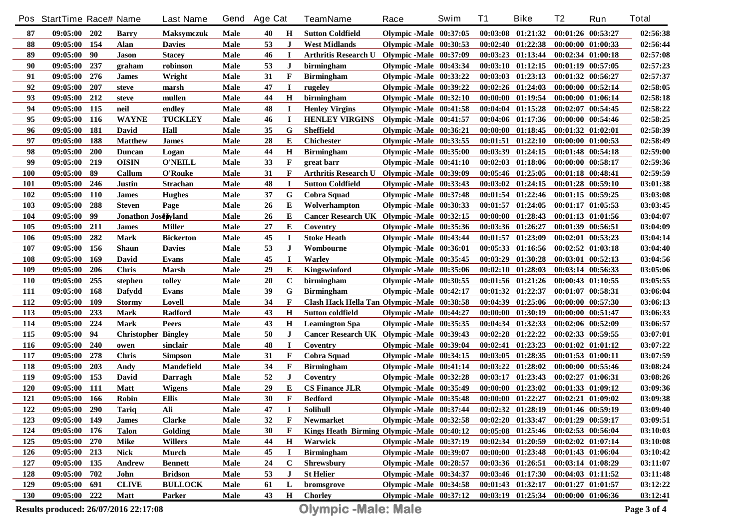|            | Pos StartTime Race# Name |            |                            | <b>Last Name</b>  | Gend        | <b>Age Cat</b> |              | <b>TeamName</b>                             | Race                     | Swim | <b>T1</b> | <b>Bike</b>           | T <sub>2</sub>        | Run               | <b>Total</b> |
|------------|--------------------------|------------|----------------------------|-------------------|-------------|----------------|--------------|---------------------------------------------|--------------------------|------|-----------|-----------------------|-----------------------|-------------------|--------------|
| 87         | $09:05:00$ 202           |            | <b>Barry</b>               | <b>Maksymczuk</b> | Male        | 40             | H            | <b>Sutton Coldfield</b>                     | Olympic -Male 00:37:05   |      |           | $00:03:08$ $01:21:32$ | 00:01:26 00:53:27     |                   | 02:56:38     |
| 88         | 09:05:00 154             |            | <b>Alan</b>                | <b>Davies</b>     | Male        | 53             | J            | <b>West Midlands</b>                        | Olympic -Male 00:30:53   |      |           | $00:02:40$ $01:22:38$ | 00:00:00 01:00:33     |                   | 02:56:44     |
| 89         | 09:05:00                 | 90         | Jason                      | <b>Stacey</b>     | Male        | 46             | П            | Arthritis Research U Olympic -Male 00:37:09 |                          |      |           | $00:03:23$ $01:13:44$ | 00:02:34 01:00:18     |                   | 02:57:08     |
| 90         | 09:05:00                 | 237        | graham                     | robinson          | Male        | 53             | J            | birmingham                                  | Olympic -Male 00:43:34   |      |           | $00:03:10$ $01:12:15$ | $00:01:19$ $00:57:05$ |                   | 02:57:23     |
| 91         | 09:05:00                 | 276        | <b>James</b>               | Wright            | Male        | 31             | $\mathbf F$  | <b>Birmingham</b>                           | Olympic -Male 00:33:22   |      |           | $00:03:03$ $01:23:13$ | 00:01:32 00:56:27     |                   | 02:57:37     |
| 92         | 09:05:00                 | 207        | steve                      | marsh             | <b>Male</b> | 47             | <b>I</b>     | rugeley                                     | Olympic -Male 00:39:22   |      |           | $00:02:26$ $01:24:03$ | 00:00:00 00:52:14     |                   | 02:58:05     |
| 93         | 09:05:00                 | 212        | steve                      | mullen            | Male        | 44             | $\mathbf H$  | birmingham                                  | Olympic -Male $00:32:10$ |      |           | $00:00:00$ $01:19:54$ | 00:00:00 01:06:14     |                   | 02:58:18     |
| 94         | 09:05:00                 | 115        | neil                       | endley            | Male        | 48             | <b>I</b>     | <b>Henley Virgins</b>                       | Olympic -Male 00:41:58   |      |           | $00:04:04$ $01:15:28$ | $00:02:07$ $00:54:45$ |                   | 02:58:22     |
| 95         | 09:05:00                 | 116        | <b>WAYNE</b>               | <b>TUCKLEY</b>    | <b>Male</b> | 46             | П            | <b>HENLEY VIRGINS</b>                       | Olympic -Male 00:41:57   |      |           | $00:04:06$ $01:17:36$ | 00:00:00 00:54:46     |                   | 02:58:25     |
| 96         | 09:05:00                 | 181        | David                      | Hall              | Male        | 35             | G            | <b>Sheffield</b>                            | Olympic -Male 00:36:21   |      |           | $00:00:00$ $01:18:45$ | $00:01:32$ $01:02:01$ |                   | 02:58:39     |
| 97         | 09:05:00                 | 188        | <b>Matthew</b>             | <b>James</b>      | Male        | 28             | E            | <b>Chichester</b>                           | Olympic -Male $00:33:55$ |      |           | $00:01:51$ $01:22:10$ | $00:00:00$ $01:00:53$ |                   | 02:58:49     |
| 98         | 09:05:00                 | <b>200</b> | <b>Duncan</b>              | Logan             | Male        | 44             | $\mathbf H$  | <b>Birmingham</b>                           | Olympic -Male $00:35:00$ |      |           | $00:03:39$ $01:24:15$ | 00:01:48 00:54:18     |                   | 02:59:00     |
| 99         | 09:05:00                 | 219        | <b>OISIN</b>               | <b>O'NEILL</b>    | Male        | 33             | F            | great barr                                  | Olympic -Male $00:41:10$ |      |           | $00:02:03$ $01:18:06$ | 00:00:00 00:58:17     |                   | 02:59:36     |
| <b>100</b> | 09:05:00                 | 89         | Callum                     | O'Rouke           | Male        | 31             | $\mathbf F$  | Arthritis Research U Olympic -Male 00:39:09 |                          |      |           | 00:05:46 01:25:05     | 00:01:18 00:48:41     |                   | 02:59:59     |
| <b>101</b> | 09:05:00                 | 246        | <b>Justin</b>              | <b>Strachan</b>   | Male        | 48             | $\mathbf I$  | <b>Sutton Coldfield</b>                     | Olympic -Male 00:33:43   |      |           | $00:03:02$ $01:24:15$ | 00:01:28 00:59:10     |                   | 03:01:38     |
| 102        | 09:05:00                 | <b>110</b> | <b>James</b>               | <b>Hughes</b>     | Male        | 37             | G            | <b>Cobra Squad</b>                          | Olympic -Male 00:37:48   |      |           | $00:01:54$ $01:22:46$ | $00:01:15$ $00:59:25$ |                   | 03:03:08     |
| 103        | 09:05:00                 | 288        | <b>Steven</b>              | Page              | Male        | 26             | Е            | Wolverhampton                               | Olympic -Male 00:30:33   |      |           | $00:01:57$ $01:24:05$ | $00:01:17$ $01:05:53$ |                   | 03:03:45     |
| 104        | 09:05:00                 | 99         | Jonathon Josepyland        |                   | Male        | 26             | Е            | Cancer Research UK Olympic -Male 00:32:15   |                          |      |           | 00:00:00 01:28:43     | 00:01:13 01:01:56     |                   | 03:04:07     |
| 105        | 09:05:00                 | 211        | <b>James</b>               | <b>Miller</b>     | Male        | 27             | E            | Coventry                                    | Olympic -Male 00:35:36   |      |           | 00:03:36 01:26:27     | 00:01:39 00:56:51     |                   | 03:04:09     |
| 106        | 09:05:00                 | 282        | <b>Mark</b>                | <b>Bickerton</b>  | Male        | 45             | $\bf{I}$     | <b>Stoke Heath</b>                          | Olympic -Male 00:43:44   |      |           | 00:01:57 01:23:09     | 00:02:01 00:53:23     |                   | 03:04:14     |
| 107        | 09:05:00                 | 156        | <b>Shaun</b>               | <b>Davies</b>     | Male        | 53             | J            | Wombourne                                   | Olympic -Male 00:36:01   |      |           | $00:05:33$ $01:16:56$ | $00:02:52$ $01:03:18$ |                   | 03:04:40     |
| 108        | 09:05:00                 | 169        | David                      | Evans             | Male        | 45             | $\bf{I}$     | Warley                                      | Olympic -Male 00:35:45   |      |           | 00:03:29 01:30:28     | 00:03:01 00:52:13     |                   | 03:04:56     |
| 109        | 09:05:00                 | 206        | <b>Chris</b>               | <b>Marsh</b>      | Male        | 29             | Е            | Kingswinford                                | Olympic -Male $00:35:06$ |      |           | $00:02:10$ $01:28:03$ | $00:03:14$ $00:56:33$ |                   | 03:05:06     |
| <b>110</b> | 09:05:00                 | 255        | stephen                    | tolley            | Male        | 20             | $\bf C$      | birmingham                                  | Olympic -Male 00:30:55   |      |           | 00:01:56 01:21:26     | $00:00:43$ $01:10:55$ |                   | 03:05:55     |
| <b>111</b> | 09:05:00                 | 168        | Dafydd                     | Evans             | Male        | 39             | G            | <b>Birmingham</b>                           | Olympic -Male 00:42:17   |      |           | 00:01:32 01:22:37     | 00:01:07 00:58:31     |                   | 03:06:04     |
| 112        | 09:05:00                 | 109        | <b>Stormy</b>              | Lovell            | Male        | 34             | $\mathbf{F}$ | Clash Hack Hella Tan Olympic -Male 00:38:58 |                          |      |           | 00:04:39 01:25:06     | 00:00:00 00:57:30     |                   | 03:06:13     |
| 113        | 09:05:00                 | 233        | <b>Mark</b>                | Radford           | Male        | 43             | H            | Sutton coldfield                            | Olympic -Male 00:44:27   |      |           | 00:00:00 01:30:19     | 00:00:00 00:51:47     |                   | 03:06:33     |
| 114        | 09:05:00                 | 224        | Mark                       | Peers             | Male        | 43             | $\mathbf H$  | <b>Leamington Spa</b>                       | Olympic -Male 00:35:35   |      |           | 00:04:34 01:32:33     | $00:02:06$ $00:52:09$ |                   | 03:06:57     |
| 115        | 09:05:00                 | 94         | <b>Christopher Bingley</b> |                   | Male        | 50             | J            | Cancer Research UK Olympic -Male 00:39:43   |                          |      |           | $00:02:28$ $01:22:22$ | $00:02:33$ $00:59:55$ |                   | 03:07:01     |
| 116        | 09:05:00                 | <b>240</b> | owen                       | sinclair          | Male        | 48             | $\bf{I}$     | Coventry                                    | Olympic -Male 00:39:04   |      |           | 00:02:41 01:23:23     | $00:01:02$ $01:01:12$ |                   | 03:07:22     |
| 117        | 09:05:00                 | 278        | <b>Chris</b>               | <b>Simpson</b>    | Male        | 31             | F            | Cobra Squad                                 | Olympic -Male 00:34:15   |      |           | 00:03:05 01:28:35     | $00:01:53$ $01:00:11$ |                   | 03:07:59     |
| 118        | 09:05:00                 | 203        | Andy                       | <b>Mandefield</b> | Male        | 34             | $\mathbf F$  | <b>Birmingham</b>                           | Olympic -Male 00:41:14   |      |           | $00:03:22$ $01:28:02$ |                       | 00:00:00 00:55:46 | 03:08:24     |
| 119        | 09:05:00                 | 153        | David                      | Darragh           | Male        | 52             | J            | Coventry                                    | Olympic -Male 00:32:28   |      | 00:03:17  | 01:23:43              | $00:02:27$ $01:06:31$ |                   | 03:08:26     |
| 120        | 09:05:00                 | 111        | Matt                       | <b>Wigens</b>     | Male        | 29             | Е            | <b>CS Finance JLR</b>                       | Olympic -Male 00:35:49   |      |           | 00:00:00 01:23:02     |                       | 00:01:33 01:09:12 | 03:09:36     |
| 121        | 09:05:00                 | 166        | <b>Robin</b>               | <b>Ellis</b>      | Male        | 30             | $\mathbf{F}$ | <b>Bedford</b>                              | Olympic -Male 00:35:48   |      |           | $00:00:00$ $01:22:27$ | $00:02:21$ $01:09:02$ |                   | 03:09:38     |
| 122        | 09:05:00                 | 290        | Tariq                      | Ali               | Male        | 47             |              | Solihull                                    | Olympic -Male 00:37:44   |      |           | 00:02:32 01:28:19     | 00:01:46 00:59:19     |                   | 03:09:40     |
| 123        | 09:05:00 149             |            | <b>James</b>               | <b>Clarke</b>     | <b>Male</b> | 32             | $\mathbf{F}$ | Newmarket                                   | Olympic-Male 00:32:58    |      |           | $00:02:20$ $01:33:47$ | 00:01:29 00:59:17     |                   | 03:09:51     |
| 124        | 09:05:00                 | 176        | <b>Talon</b>               | Golding           | Male        | 30             | $\mathbf{F}$ | Kings Heath Birming Olympic -Male 00:40:12  |                          |      |           | $00:05:08$ $01:25:46$ | 00:02:53 00:56:04     |                   | 03:10:03     |
| 125        | 09:05:00                 | 270        | Mike                       | <b>Willers</b>    | Male        | 44             | $\mathbf H$  | Warwick                                     | Olympic -Male 00:37:19   |      |           | 00:02:34 01:20:59     | $00:02:02$ $01:07:14$ |                   | 03:10:08     |
| 126        | 09:05:00 213             |            | Nick                       | Murch             | Male        | 45             | J            | <b>Birmingham</b>                           | Olympic-Male 00:39:07    |      |           | $00:00:00$ $01:23:48$ | 00:01:43 01:06:04     |                   | 03:10:42     |
| 127        | 09:05:00 135             |            | Andrew                     | <b>Bennett</b>    | Male        | 24             | $\mathbf c$  | <b>Shrewsbury</b>                           | Olympic-Male 00:28:57    |      |           | 00:03:36 01:26:51     | 00:03:14 01:08:29     |                   | 03:11:07     |
| 128        | 09:05:00                 | 702        | John                       | <b>Bridson</b>    | Male        | 53             | J            | <b>St Helier</b>                            | Olympic -Male 00:34:37   |      |           | $00:03:46$ $01:17:30$ | $00:04:03$ $01:11:52$ |                   | 03:11:48     |
| 129        | 09:05:00                 | 691        | <b>CLIVE</b>               | <b>BULLOCK</b>    | Male        | 61             | L            | bromsgrove                                  | Olympic-Male 00:34:58    |      |           | 00:01:43 01:32:17     | 00:01:27 01:01:57     |                   | 03:12:22     |
| <b>130</b> | 09:05:00 222             |            | Matt                       | Parker            | Male        | 43             | $\mathbf H$  | <b>Chorley</b>                              | Olympic -Male 00:37:12   |      |           | $00:03:19$ $01:25:34$ | 00:00:00 01:06:36     |                   | 03:12:41     |